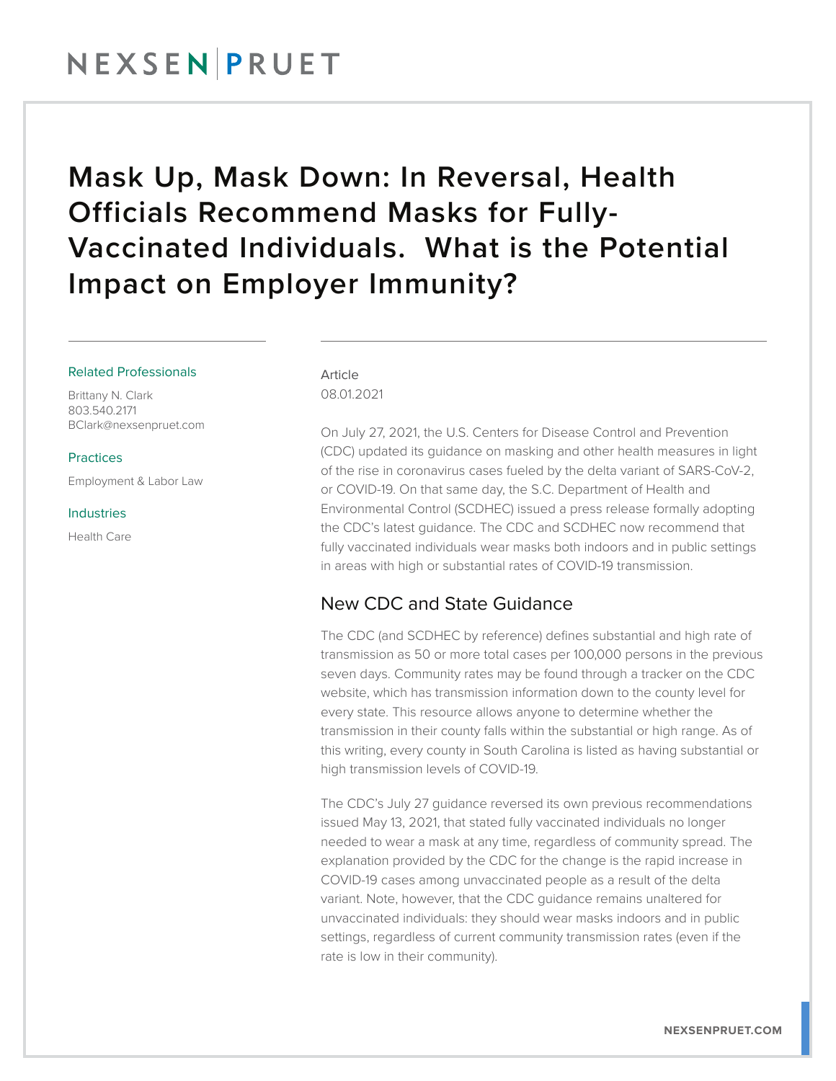## Mask Up, Mask Down: In Reversal, Health Officials Recommend Masks for Fully-Vaccinated Individuals. What is the Potential Impact on Employer Immunity?

### Related Professionals

Brittany N. Clark 803.540.2171 BClark@nexsenpruet.com

**Practices** 

Employment & Labor Law

#### Industries

Health Care

Article 08.01.2021

On July 27, 2021, the U.S. Centers for Disease Control and Prevention (CDC) updated its guidance on masking and other health measures in light of the rise in coronavirus cases fueled by the delta variant of SARS-CoV-2, or COVID-19. On that same day, the S.C. Department of Health and Environmental Control (SCDHEC) issued a press release formally adopting the CDC's latest guidance. The CDC and SCDHEC now recommend that fully vaccinated individuals wear masks both indoors and in public settings in areas with high or substantial rates of COVID-19 transmission.

### New CDC and State Guidance

The CDC (and SCDHEC by reference) defines substantial and high rate of transmission as 50 or more total cases per 100,000 persons in the previous seven days. Community rates may be found through a tracker on the CDC website, which has transmission information down to the county level for every state. This resource allows anyone to determine whether the transmission in their county falls within the substantial or high range. As of this writing, every county in South Carolina is listed as having substantial or high transmission levels of COVID-19.

The CDC's July 27 guidance reversed its own previous recommendations issued May 13, 2021, that stated fully vaccinated individuals no longer needed to wear a mask at any time, regardless of community spread. The explanation provided by the CDC for the change is the rapid increase in COVID-19 cases among unvaccinated people as a result of the delta variant. Note, however, that the CDC guidance remains unaltered for unvaccinated individuals: they should wear masks indoors and in public settings, regardless of current community transmission rates (even if the rate is low in their community).